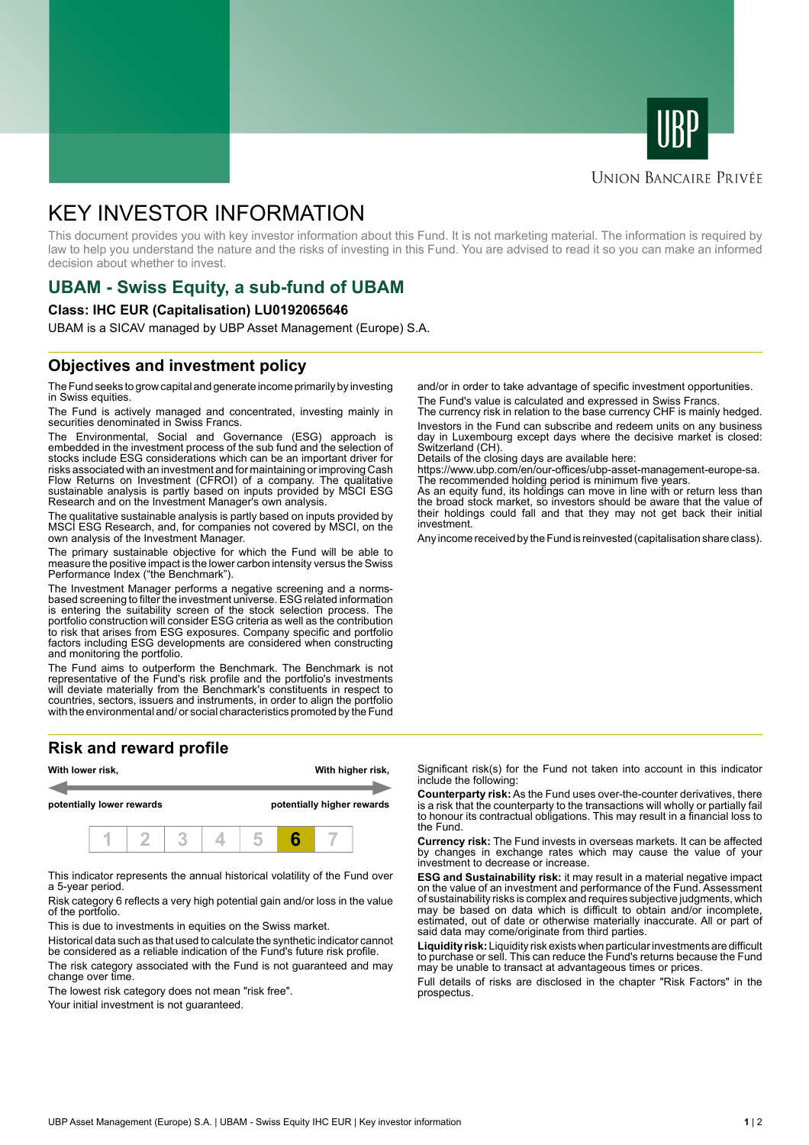



#### **UNION BANCAIRE PRIVÉE**

# KEY INVESTOR INFORMATION

This document provides you with key investor information about this Fund. It is not marketing material. The information is required by law to help you understand the nature and the risks of investing in this Fund. You are advised to read it so you can make an informed decision about whether to invest.

# **UBAM - Swiss Equity, a sub-fund of UBAM**

#### **Class: IHC EUR (Capitalisation) LU0192065646**

UBAM is a SICAV managed by UBP Asset Management (Europe) S.A.

## **Objectives and investment policy**

The Fund seeks to grow capital and generate income primarily by investing in Swiss equities.

The Fund is actively managed and concentrated, investing mainly in securities denominated in Swiss Francs.

The Environmental, Social and Governance (ESG) approach is embedded in the investment process of the sub fund and the selection of stocks include ESG considerations which can be an important driver for risks associated with an investment and for maintaining or improving Cash Flow Returns on Investment (CFROI) of a company. The qualitative sustainable analysis is partly based on inputs provided by MSCI ESG Research and on the Investment Manager's own analysis.

The qualitative sustainable analysis is partly based on inputs provided by MSCI ESG Research, and, for companies not covered by MSCI, on the own analysis of the Investment Manager.

The primary sustainable objective for which the Fund will be able to measure the positive impact is the lower carbon intensity versus the Swiss Performance Index ("the Benchmark").

The Investment Manager performs a negative screening and a normsbased screening to filter the investment universe. ESG related information is entering the suitability screen of the stock selection process. The portfolio construction will consider ESG criteria as well as the contribution to risk that arises from ESG exposures. Company specific and portfolio factors including ESG developments are considered when constructing and monitoring the portfolio.

The Fund aims to outperform the Benchmark. The Benchmark is not representative of the Fund's risk profile and the portfolio's investments will deviate materially from the Benchmark's constituents in respect to countries, sectors, issuers and instruments, in order to align the portfolio with the environmental and/ or social characteristics promoted by the Fund

## **Risk and reward profile**



This indicator represents the annual historical volatility of the Fund over a 5-year period.

Risk category 6 reflects a very high potential gain and/or loss in the value of the portfolio.

This is due to investments in equities on the Swiss market.

Historical data such as that used to calculate the synthetic indicator cannot be considered as a reliable indication of the Fund's future risk profile. The risk category associated with the Fund is not guaranteed and may change over time.

The lowest risk category does not mean "risk free".

Your initial investment is not guaranteed.

and/or in order to take advantage of specific investment opportunities. The Fund's value is calculated and expressed in Swiss Francs.

The currency risk in relation to the base currency CHF is mainly hedged. Investors in the Fund can subscribe and redeem units on any business day in Luxembourg except days where the decisive market is closed: Switzerland (CH).

Details of the closing days are available here:

https://www.ubp.com/en/our-offices/ubp-asset-management-europe-sa. The recommended holding period is minimum five years.

As an equity fund, its holdings can move in line with or return less than the broad stock market, so investors should be aware that the value of their holdings could fall and that they may not get back their initial investment.

Any income received by the Fund is reinvested (capitalisation share class).

Significant risk(s) for the Fund not taken into account in this indicator include the following:

**Counterparty risk:** As the Fund uses over-the-counter derivatives, there is a risk that the counterparty to the transactions will wholly or partially fail to honour its contractual obligations. This may result in a financial loss to the Fund.

**Currency risk:** The Fund invests in overseas markets. It can be affected by changes in exchange rates which may cause the value of your investment to decrease or increase.

**ESG and Sustainability risk:** it may result in a material negative impact on the value of an investment and performance of the Fund. Assessment of sustainability risks is complex and requires subjective judgments, which may be based on data which is difficult to obtain and/or incomplete, estimated, out of date or otherwise materially inaccurate. All or part of said data may come/originate from third parties.

**Liquidity risk:** Liquidity risk exists when particular investments are difficult to purchase or sell. This can reduce the Fund's returns because the Fund may be unable to transact at advantageous times or prices.

Full details of risks are disclosed in the chapter "Risk Factors" in the prospectus.